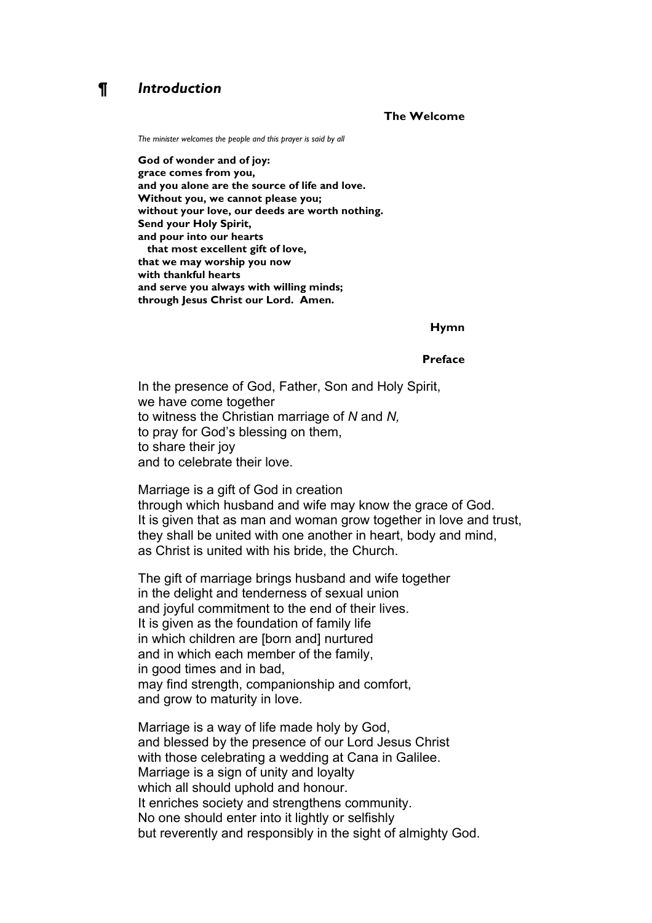# *¶ Introduction*

## **The Welcome**

*The minister welcomes the people and this prayer is said by all*

**God of wonder and of joy: grace comes from you, and you alone are the source of life and love. Without you, we cannot please you; without your love, our deeds are worth nothing. Send your Holy Spirit, and pour into our hearts that most excellent gift of love, that we may worship you now with thankful hearts and serve you always with willing minds; through Jesus Christ our Lord. Amen.**

### **Hymn**

#### **Preface**

In the presence of God, Father, Son and Holy Spirit, we have come together to witness the Christian marriage of *N* and *N,* to pray for God's blessing on them, to share their joy and to celebrate their love.

Marriage is a gift of God in creation through which husband and wife may know the grace of God. It is given that as man and woman grow together in love and trust, they shall be united with one another in heart, body and mind, as Christ is united with his bride, the Church.

The gift of marriage brings husband and wife together in the delight and tenderness of sexual union and joyful commitment to the end of their lives. It is given as the foundation of family life in which children are [born and] nurtured and in which each member of the family, in good times and in bad, may find strength, companionship and comfort, and grow to maturity in love.

Marriage is a way of life made holy by God, and blessed by the presence of our Lord Jesus Christ with those celebrating a wedding at Cana in Galilee. Marriage is a sign of unity and loyalty which all should uphold and honour. It enriches society and strengthens community. No one should enter into it lightly or selfishly but reverently and responsibly in the sight of almighty God.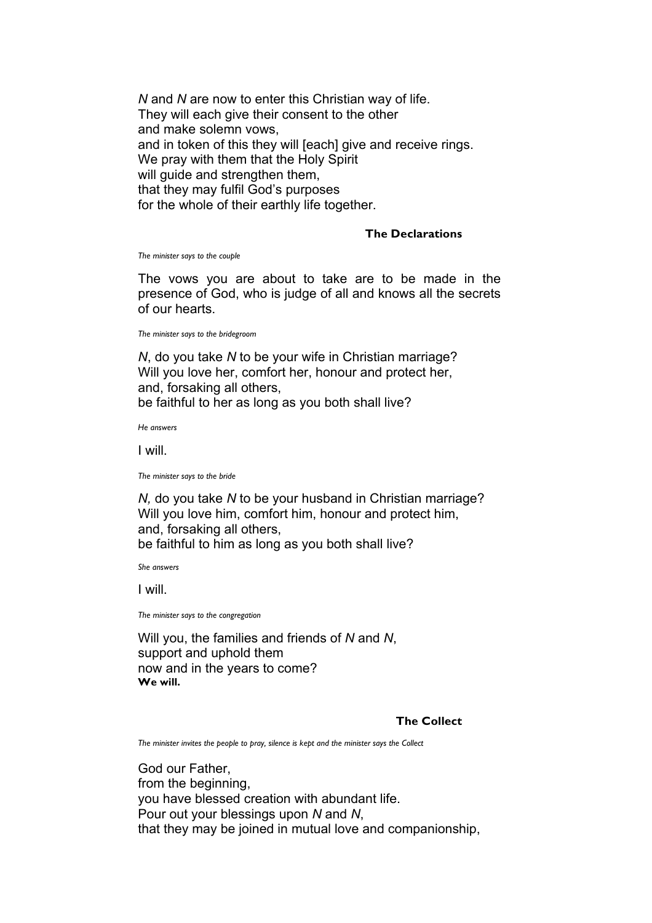*N* and *N* are now to enter this Christian way of life. They will each give their consent to the other and make solemn vows, and in token of this they will [each] give and receive rings. We pray with them that the Holy Spirit will quide and strengthen them, that they may fulfil God's purposes for the whole of their earthly life together.

## **The Declarations**

*The minister says to the couple*

The vows you are about to take are to be made in the presence of God, who is judge of all and knows all the secrets of our hearts.

*The minister says to the bridegroom*

*N*, do you take *N* to be your wife in Christian marriage? Will you love her, comfort her, honour and protect her, and, forsaking all others, be faithful to her as long as you both shall live?

*He answers*

I will.

*The minister says to the bride*

*N,* do you take *N* to be your husband in Christian marriage? Will you love him, comfort him, honour and protect him, and, forsaking all others, be faithful to him as long as you both shall live?

*She answers*

I will.

*The minister says to the congregation*

Will you, the families and friends of *N* and *N*, support and uphold them now and in the years to come? **We will.**

## **The Collect**

*The minister invites the people to pray, silence is kept and the minister says the Collect*

God our Father, from the beginning, you have blessed creation with abundant life. Pour out your blessings upon *N* and *N*, that they may be joined in mutual love and companionship,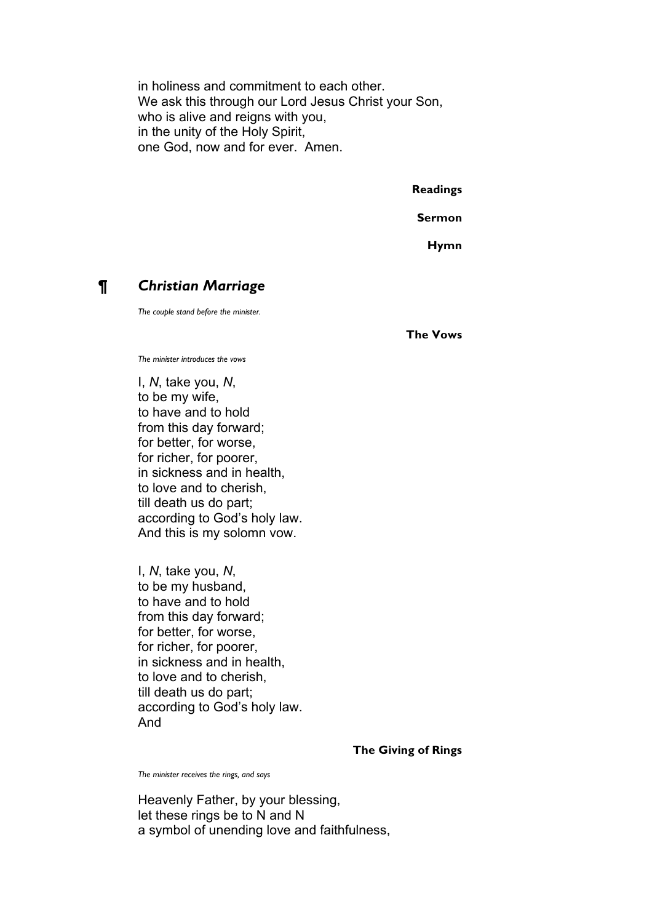in holiness and commitment to each other. We ask this through our Lord Jesus Christ your Son, who is alive and reigns with you, in the unity of the Holy Spirit, one God, now and for ever. Amen.

**Readings**

**Sermon**

**Hymn**

# *¶ Christian Marriage*

*The couple stand before the minister.*

**The Vows**

*The minister introduces the vows*

I, *N*, take you, *N*, to be my wife, to have and to hold from this day forward; for better, for worse, for richer, for poorer, in sickness and in health, to love and to cherish, till death us do part; according to God's holy law. And this is my solomn vow.

I, *N*, take you, *N*, to be my husband, to have and to hold from this day forward; for better, for worse, for richer, for poorer, in sickness and in health, to love and to cherish, till death us do part; according to God's holy law. And

**The Giving of Rings**

*The minister receives the rings, and says*

Heavenly Father, by your blessing, let these rings be to N and N a symbol of unending love and faithfulness,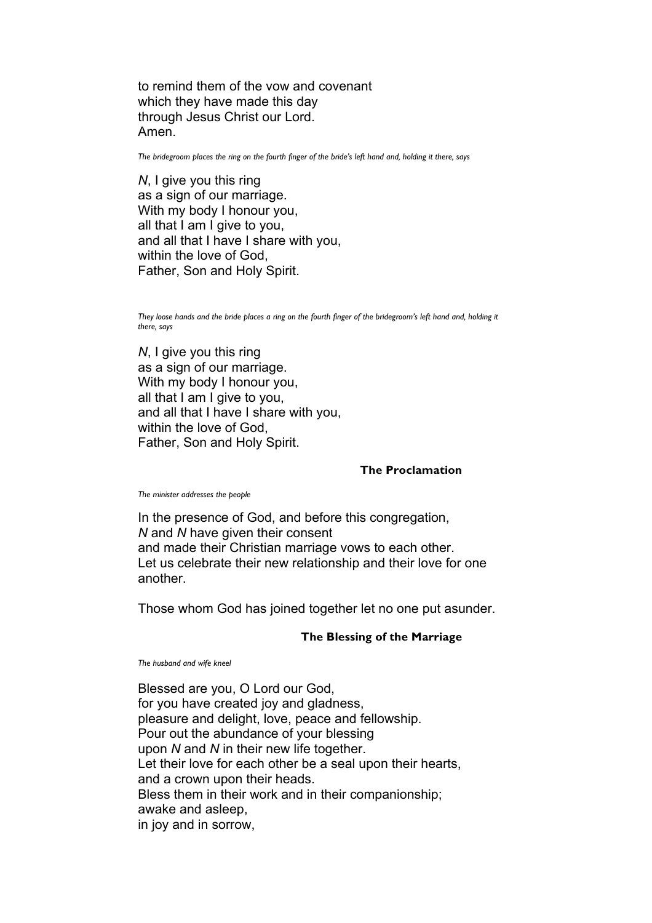to remind them of the vow and covenant which they have made this day through Jesus Christ our Lord. Amen.

*The bridegroom places the ring on the fourth finger of the bride's left hand and, holding it there, says*

*N*, I give you this ring as a sign of our marriage. With my body I honour you, all that I am I give to you, and all that I have I share with you, within the love of God, Father, Son and Holy Spirit.

They loose hands and the bride places a ring on the fourth finger of the bridegroom's left hand and, holding it *there, says*

*N*, I give you this ring as a sign of our marriage. With my body I honour you, all that I am I give to you, and all that I have I share with you, within the love of God, Father, Son and Holy Spirit.

### **The Proclamation**

*The minister addresses the people*

In the presence of God, and before this congregation, *N* and *N* have given their consent and made their Christian marriage vows to each other. Let us celebrate their new relationship and their love for one another.

Those whom God has joined together let no one put asunder.

### **The Blessing of the Marriage**

*The husband and wife kneel*

Blessed are you, O Lord our God, for you have created joy and gladness, pleasure and delight, love, peace and fellowship. Pour out the abundance of your blessing upon *N* and *N* in their new life together. Let their love for each other be a seal upon their hearts, and a crown upon their heads. Bless them in their work and in their companionship; awake and asleep, in joy and in sorrow,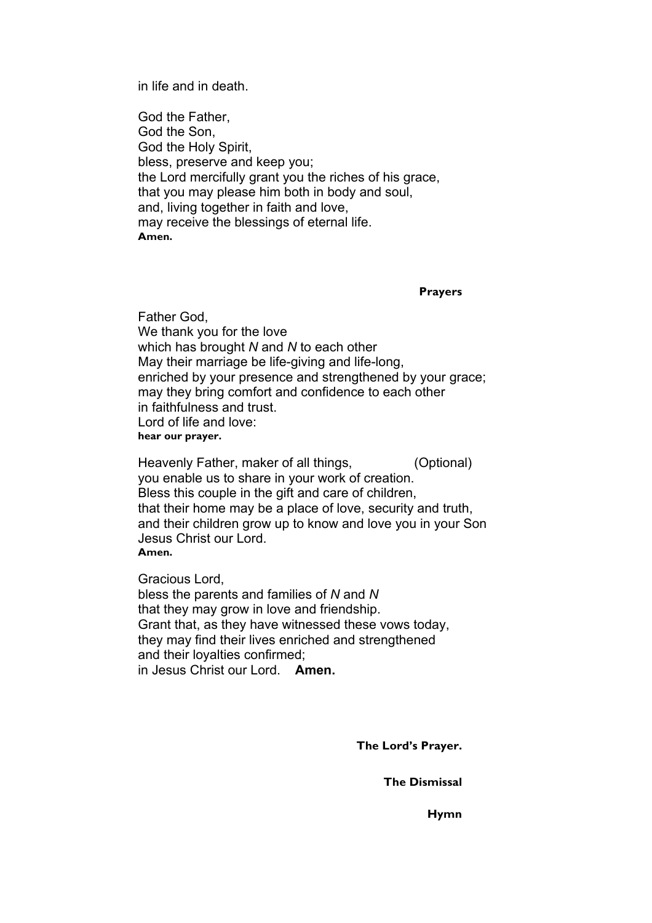in life and in death.

God the Father, God the Son, God the Holy Spirit, bless, preserve and keep you; the Lord mercifully grant you the riches of his grace, that you may please him both in body and soul, and, living together in faith and love, may receive the blessings of eternal life. **Amen.**

**Prayers**

Father God, We thank you for the love which has brought *N* and *N* to each other May their marriage be life-giving and life-long, enriched by your presence and strengthened by your grace; may they bring comfort and confidence to each other in faithfulness and trust. Lord of life and love: **hear our prayer.**

Heavenly Father, maker of all things, (Optional) you enable us to share in your work of creation. Bless this couple in the gift and care of children, that their home may be a place of love, security and truth, and their children grow up to know and love you in your Son Jesus Christ our Lord. **Amen.**

Gracious Lord,

bless the parents and families of *N* and *N* that they may grow in love and friendship. Grant that, as they have witnessed these vows today, they may find their lives enriched and strengthened and their loyalties confirmed; in Jesus Christ our Lord. **Amen.**

**The Lord's Prayer.**

**The Dismissal**

**Hymn**